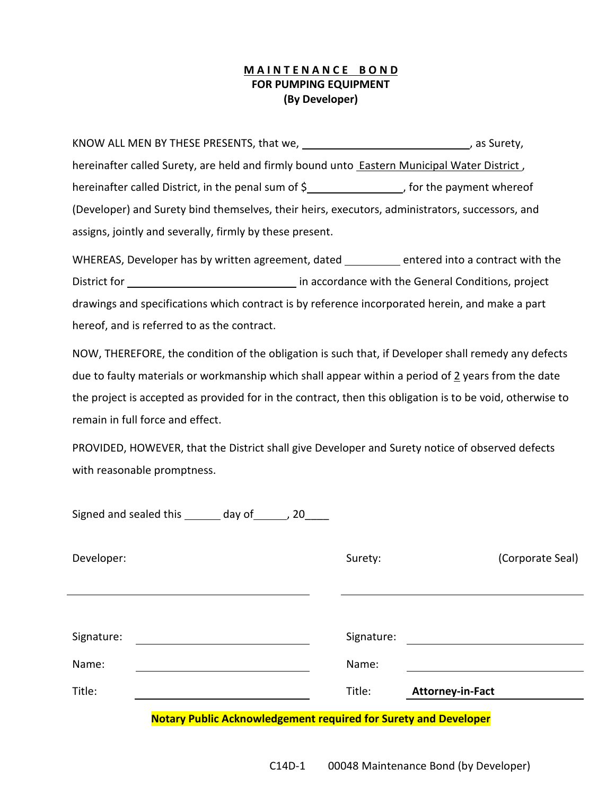## **M A I N T E N A N C E B O N D FOR PUMPING EQUIPMENT (By Developer)**

KNOW ALL MEN BY THESE PRESENTS, that we, \_\_\_\_\_\_\_\_\_\_\_\_\_\_\_\_\_\_\_\_\_\_\_\_\_\_\_\_\_\_\_\_\_\_, as Surety, hereinafter called Surety, are held and firmly bound unto **Eastern Municipal Water District**, hereinafter called District, in the penal sum of  $\frac{2}{3}$  for the payment whereof (Developer) and Surety bind themselves, their heirs, executors, administrators, successors, and assigns, jointly and severally, firmly by these present.

WHEREAS, Developer has by written agreement, dated \_\_\_\_\_\_\_\_ entered into a contract with the District for in accordance with the General Conditions, project drawings and specifications which contract is by reference incorporated herein, and make a part hereof, and is referred to as the contract.

NOW, THEREFORE, the condition of the obligation is such that, if Developer shall remedy any defects due to faulty materials or workmanship which shall appear within a period of 2 years from the date the project is accepted as provided for in the contract, then this obligation is to be void, otherwise to remain in full force and effect.

PROVIDED, HOWEVER, that the District shall give Developer and Surety notice of observed defects with reasonable promptness.

|            | Signed and sealed this _______ day of ______, 20 |  |            |                                                                        |                  |
|------------|--------------------------------------------------|--|------------|------------------------------------------------------------------------|------------------|
| Developer: |                                                  |  | Surety:    |                                                                        | (Corporate Seal) |
|            |                                                  |  |            |                                                                        |                  |
| Signature: |                                                  |  | Signature: |                                                                        |                  |
| Name:      |                                                  |  | Name:      |                                                                        |                  |
| Title:     |                                                  |  | Title:     | <b>Attorney-in-Fact</b>                                                |                  |
|            |                                                  |  |            | <b>Notary Public Acknowledgement required for Surety and Developer</b> |                  |

C14D-1 00048 Maintenance Bond (by Developer)